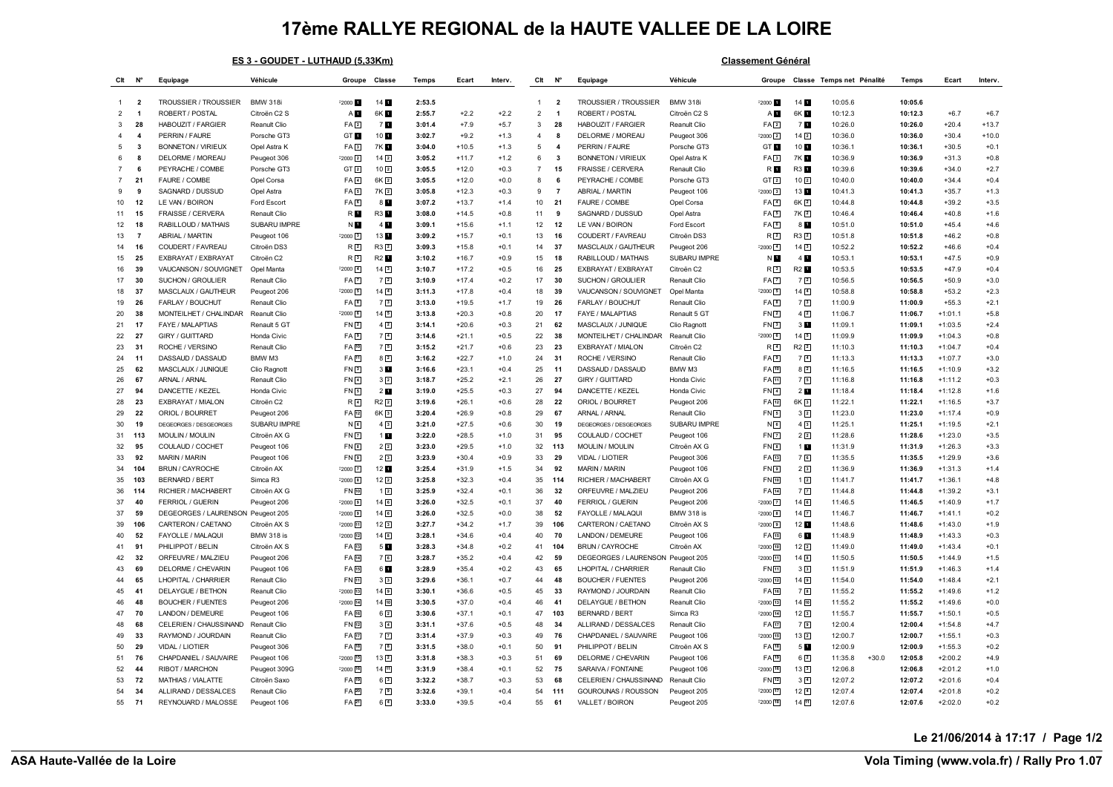## **17ème RALLYE REGIONAL de la HAUTE VALLEE DE LA LOIRE**

|                | ES 3 - GOUDET - LUTHAUD (5,33Km) |                           |                   |                     |                   |        |         |         |                |                         | <b>Classement Général</b>         |                   |                     |                   |                           |                    |           |         |  |  |
|----------------|----------------------------------|---------------------------|-------------------|---------------------|-------------------|--------|---------|---------|----------------|-------------------------|-----------------------------------|-------------------|---------------------|-------------------|---------------------------|--------------------|-----------|---------|--|--|
| Clt            | N°                               | Equipage                  | Véhicule          | Groupe Classe       |                   | Temps  | Ecart   | Interv. | Clt            | $N^{\circ}$             | Equipage                          | Véhicule          | Groupe              |                   | Classe Temps net Pénalité | Temps              | Fcart     | Interv. |  |  |
| $\mathbf{1}$   | $\overline{\mathbf{2}}$          | TROUSSIER / TROUSSIER     | <b>BMW 318i</b>   | F2000 1             | 14 <sub>1</sub>   | 2:53.5 |         |         | $\overline{1}$ | $\overline{\mathbf{2}}$ | TROUSSIER / TROUSSIER             | <b>BMW 318i</b>   | $-2000$             | 141               | 10:05.6                   | 10:05.6            |           |         |  |  |
| $\overline{2}$ | $\overline{1}$                   | ROBERT / POSTAL           | Citroën C2 S      | AП                  | 6K <b>H</b>       | 2:55.7 | $+2.2$  | $+2.2$  | $\overline{2}$ | $\overline{1}$          | ROBERT / POSTAL                   | Citroën C2 S      | A <sub>D</sub>      | 6K 1              | 10:12.3                   | 10:12.3            | $+6.7$    | $+6.7$  |  |  |
| 3              | 28                               | HABOUZIT / FARGIER        | Reanult Clio      | FA <sub>2</sub>     | 71                | 3:01.4 | $+7.9$  | $+5.7$  | 3              | 28                      | HABOUZIT / FARGIER                | Reanult Clio      | FA <sub>[2]</sub>   | 71                | 10:26.0                   | 10:26.0            | $+20.4$   | $+13.7$ |  |  |
| $\mathbf{4}$   | $\overline{\mathbf{4}}$          | PERRIN / FAURE            | Porsche GT3       | GT <b>T</b>         | 10 1              | 3:02.7 | $+9.2$  | $+1.3$  | $\overline{4}$ | 8                       | DELORME / MOREAU                  | Peugeot 306       | $-2000$ $2$         | 14 <sup>2</sup>   | 10:36.0                   | 10:36.0            | $+30.4$   | $+10.0$ |  |  |
| 5              | 3                                | <b>BONNETON / VIRIEUX</b> | Opel Astra K      | FA <sub>3</sub>     | 7K E              | 3:04.0 | $+10.5$ | $+1.3$  | 5              | $\overline{4}$          | PERRIN / FAURE                    | Porsche GT3       | GT 1                | 10 1              | 10:36.1                   | 10:36.1            | $+30.5$   | $+0.1$  |  |  |
| 6              | 8                                | DELORME / MOREAU          | Peugeot 306       | $F2000$ $2$         | $14\sqrt{2}$      | 3:05.2 | $+11.7$ | $+1.2$  | 6              | -3                      | <b>BONNETON / VIRIEUX</b>         | Opel Astra K      | FA3                 | 7K <b>N</b>       | 10:36.9                   | 10:36.9            | $+31.3$   | $+0.8$  |  |  |
| 7              | 6                                | PEYRACHE / COMBE          | Porsche GT3       | GT <sub>2</sub>     | 10 <sup>2</sup>   | 3:05.5 | $+12.0$ | $+0.3$  | $\overline{7}$ | 15                      | FRAISSE / CERVERA                 | Renault Clio      | R <b>M</b>          | R3 1              | 10:39.6                   | 10:39.6            | $+34.0$   | $+2.7$  |  |  |
| $\overline{7}$ | 21                               | FAURE / COMBE             | Opel Corsa        | FA <sub>1</sub>     | 6K 2              | 3:05.5 | $+12.0$ | $+0.0$  | 8              | 6                       | PEYRACHE / COMBE                  | Porsche GT3       | GT <sub>[2]</sub>   | 10 <sup>2</sup>   | 10:40.0                   | 10:40.0            | $+34.4$   | $+0.4$  |  |  |
| 9              | -9                               | SAGNARD / DUSSUD          | Opel Astra        | FA <sub>5</sub>     | 7K 2              | 3:05.8 | $+12.3$ | $+0.3$  | 9              | $\overline{7}$          | ABRIAL / MARTIN                   | Peugeot 106       | $-2000$ $3$         | 13 1              | 10:41.3                   | 10:41.3            | $+35.7$   | $+1.3$  |  |  |
| 10             | 12                               | LE VAN / BOIRON           | Ford Escort       | FA <sub>B</sub>     | 8 <b>M</b>        | 3:07.2 | $+13.7$ | $+1.4$  | 10             | 21                      | FAURE / COMBE                     | Opel Corsa        | FA 4                | 6K <sub>2</sub>   | 10:44.8                   | 10:44.8            | $+39.2$   | $+3.5$  |  |  |
| 11             | 15                               | <b>FRAISSE / CERVERA</b>  | Renault Clio      | R <b>D</b>          | <b>R3</b>         | 3:08.0 | $+14.5$ | $+0.8$  | 11             | 9                       | SAGNARD / DUSSUD                  | Opel Astra        | FA <sub>5</sub>     | 7K 2              | 10:46.4                   | 10:46.4            | $+40.8$   | $+1.6$  |  |  |
| 12             | 18                               | RABILLOUD / MATHAIS       | SUBARU IMPRE      | N <b>H</b>          | 4 1               | 3:09.1 | $+15.6$ | $+1.1$  | 12             | 12                      | LE VAN / BOIRON                   | Ford Escort       | FAG                 | 8 <b>M</b>        | 10:51.0                   | 10:51.0            | $+45.4$   | $+4.6$  |  |  |
| 13             | $\overline{7}$                   | ABRIAL / MARTIN           | Peugeot 106       | $F2000$ 3           | 13 1              | 3:09.2 | $+15.7$ | $+0.1$  | 13             | 16                      | COUDERT / FAVREAU                 | Citroën DS3       | R2                  | $R3$ <sup>2</sup> | 10:51.8                   | 10:51.8            | $+46.2$   | $+0.8$  |  |  |
| 14             | 16                               | COUDERT / FAVREAU         | Citroën DS3       | R <sub>2</sub>      | $R3$ <sup>2</sup> | 3:09.3 | $+15.8$ | $+0.1$  | 14             | 37                      | MASCLAUX / GAUTHEUR               | Peugeot 206       | $-2000$ $4$         | 143               | 10:52.2                   | 10:52.2            | $+46.6$   | $+0.4$  |  |  |
| 15             | 25                               | EXBRAYAT / EXBRAYAT       | Citroën C2        | R3                  | R2 f              | 3:10.2 | $+16.7$ | $+0.9$  | 15             | 18                      | RABILLOUD / MATHAIS               | SUBARU IMPRE      | ND                  | 4                 | 10:53.1                   | 10:53.1            | $+47.5$   | $+0.9$  |  |  |
| 16             | 39                               | VAUCANSON / SOUVIGNET     | Opel Manta        | $F2000$ 4           | $14\overline{3}$  | 3:10.7 | $+17.2$ | $+0.5$  | 16             | 25                      | EXBRAYAT / EXBRAYAT               | Citroën C2        | R <sub>3</sub>      | R2 <b>1</b>       | 10:53.5                   | 10:53.5            | $+47.9$   | $+0.4$  |  |  |
| 17             | 30                               | SUCHON / GROULIER         | Renault Clio      | FA <sub>1</sub>     | 72                | 3:10.9 | $+17.4$ | $+0.2$  | 17             | 30                      | SUCHON / GROULIER                 | Renault Clio      | FA <sub>[7]</sub>   | $7\sqrt{2}$       | 10:56.5                   | 10:56.5            | $+50.9$   | $+3.0$  |  |  |
| 18             | 37                               | MASCLAUX / GAUTHEUR       | Peugeot 206       | $F2000$ 5           | $14\sqrt{4}$      | 3:11.3 | $+17.8$ | $+0.4$  | 18             | 39                      | VAUCANSON / SOUVIGNET             | Opel Manta        | $-2000$ $5$         | 14 <sup>4</sup>   | 10:58.8                   | 10:58.8            | $+53.2$   | $+2.3$  |  |  |
| 19             | 26                               | FARLAY / BOUCHUT          | Renault Clio      | FA <sub>B</sub>     | 7 <sup>3</sup>    | 3:13.0 | $+19.5$ | $+1.7$  | 19             | 26                      | FARLAY / BOUCHUT                  | Renault Clio      | FA <b>B</b>         | 73                | 11:00.9                   | 11:00.9            | $+55.3$   | $+2.1$  |  |  |
| 20             | 38                               | MONTEILHET / CHALINDAR    | Reanult Clio      | $F2000$ 6           | 14 5              | 3:13.8 | $+20.3$ | $+0.8$  | 20             | 17                      | FAYE / MALAPTIAS                  | Renault 5 GT      | FN <sub>2</sub>     | 4 <sup>2</sup>    | 11:06.7                   | 11:06.7            | $+1:01.1$ | $+5.8$  |  |  |
| 21             | 17                               | <b>FAYE / MALAPTIAS</b>   | Renault 5 GT      | FN <sub>2</sub>     | $4\sqrt{2}$       | 3:14.1 | $+20.6$ | $+0.3$  | 21             | 62                      | MASCLAUX / JUNIQUE                | Clio Ragnott      | FN <sub>3</sub>     | 3 <sub>1</sub>    | 11:09.1                   | 11:09.1            | $+1:03.5$ | $+2.4$  |  |  |
| 22             | 27                               | GIRY / GUITTARD           | Honda Civic       | FA <sup>9</sup>     | 7 <sup>4</sup>    | 3:14.6 | $+21.1$ | $+0.5$  | 22             | 38                      | MONTEILHET / CHALINDAR            | Reanult Clio      | $-2000$ 6           | $14\sqrt{5}$      | 11:09.9                   | 11:09.9            | $+1:04.3$ | $+0.8$  |  |  |
| 23             | 31                               | ROCHE / VERSINO           | Renault Clio      | FA 10               | 75                | 3:15.2 | $+21.7$ | $+0.6$  | 23             | 23                      | EXBRAYAT / MIALON                 | Citroën C2        | R <sub>4</sub>      | $R2$ $2$          | 11:10.3                   | 11:10.3            | $+1:04.7$ | $+0.4$  |  |  |
| 24             | 11                               | DASSAUD / DASSAUD         | BMW M3            | FA 11               | $8\sqrt{2}$       | 3:16.2 | $+22.7$ | $+1.0$  | 24             | 31                      | ROCHE / VERSINO                   | Renault Clio      | FA <sub>[9]</sub>   | 7 <sup>4</sup>    | 11:13.3                   | 11:13.3            | $+1:07.7$ | $+3.0$  |  |  |
| 25             | 62                               | MASCLAUX / JUNIQUE        | Clio Ragnott      | FN <sub>3</sub>     | 3 <sub>h</sub>    | 3:16.6 | $+23.1$ | $+0.4$  | 25             | 11                      | DASSAUD / DASSAUD                 | BMW M3            | FA [10]             | $8\sqrt{2}$       | 11:16.5                   | 11:16.5            | $+1:10.9$ | $+3.2$  |  |  |
| 26             | 67                               | ARNAL / ARNAL             | Renault Clio      | FN <sub>4</sub>     | 3 <sup>2</sup>    | 3:18.7 | $+25.2$ | $+2.1$  | 26             | 27                      | GIRY / GUITTARD                   | Honda Civic       | FA <sub>[1]</sub>   | 75                | 11:16.8                   | 11:16.8            | $+1:11.2$ | $+0.3$  |  |  |
| 27             | 94                               | DANCETTE / KEZEL          | Honda Civic       | FN <sub>5</sub>     | 2 <sub>u</sub>    | 3:19.0 | $+25.5$ | $+0.3$  | 27             | 94                      | DANCETTE / KEZEL                  | Honda Civic       | $FN$ <sup>4</sup>   | 2 <sub>1</sub>    | 11:18.4                   | 11:18.4            | $+1:12.8$ | $+1.6$  |  |  |
| 28             | 23                               | EXBRAYAT / MIALON         |                   |                     | $R2$ <sup>2</sup> | 3:19.6 | $+26.1$ | $+0.6$  | 28             | 22                      | ORIOL / BOURRET                   |                   |                     |                   | 11:22.1                   | 11:22.1            | $+1:16.5$ | $+3.7$  |  |  |
|                |                                  |                           | Citroën C2        | R <sub>4</sub>      |                   |        |         |         |                |                         |                                   | Peugeot 206       | FA 12               | 6K <sub>3</sub>   |                           |                    |           |         |  |  |
| 29             | 22                               | ORIOL / BOURRET           | Peugeot 206       | FA 12               | $6K$ <sup>3</sup> | 3:20.4 | $+26.9$ | $+0.8$  | 29             | 67                      | ARNAL / ARNAL                     | Renault Clio      | FN5                 | $3\sqrt{2}$       | 11:23.0                   | 11:23.0            | $+1:17.4$ | $+0.9$  |  |  |
| 30             | 19                               | DEGEORGES / DESGEORGES    | SUBARU IMPRE      | N <sub>6</sub>      | 4 <sup>3</sup>    | 3:21.0 | $+27.5$ | $+0.6$  | 30             | 19                      | DEGEORGES / DESGEORGES            | SUBARU IMPRE      | $N_{6}$             | 43                | 11:25.1                   | 11:25.1            | $+1:19.5$ | $+2.1$  |  |  |
| 31             | 113                              | <b>MOULIN / MOULIN</b>    | Citroën AX G      | $FN$ $7$            | 1 <sub>1</sub>    | 3:22.0 | $+28.5$ | $+1.0$  | 31             | 95                      | COULAUD / COCHET                  | Peugeot 106       | FN2                 | 2 <sup>2</sup>    | 11:28.6                   | 11:28.6            | $+1:23.0$ | $+3.5$  |  |  |
| 32             | 95                               | COULAUD / COCHET          | Peugeot 106       | FN <sub>8</sub>     | 2 <sup>2</sup>    | 3:23.0 | $+29.5$ | $+1.0$  | 32             | 113                     | <b>MOULIN / MOULIN</b>            | Citroën AX G      | FN <sub>B</sub>     | 1 <sub>1</sub>    | 11:31.9                   | 11:31.9            | $+1:26.3$ | $+3.3$  |  |  |
| 33             | 92                               | <b>MARIN / MARIN</b>      | Peugeot 106       | FN <sub>9</sub>     | 2 <sup>3</sup>    | 3:23.9 | $+30.4$ | $+0.9$  | 33             | 29                      | VIDAL / LIOTIER                   | Peugeot 306       | $FA$ <sup>13</sup>  | 76                | 11:35.5                   | 11:35.5            | $+1:29.9$ | $+3.6$  |  |  |
| 34             | 104                              | <b>BRUN / CAYROCHE</b>    | Citroën AX        | $F2000$ 7           | 12 1              | 3:25.4 | $+31.9$ | $+1.5$  | 34             | 92                      | <b>MARIN / MARIN</b>              | Peugeot 106       | $FN$ <sup>9</sup>   | 2 <sup>3</sup>    | 11:36.9                   | 11:36.9            | $+1:31.3$ | $+1.4$  |  |  |
| 35             | 103                              | <b>BERNARD / BERT</b>     | Simca R3          | $F2000$ 8           | $12\sqrt{2}$      | 3:25.8 | $+32.3$ | $+0.4$  | 35             | 114                     | RICHIER / MACHABERT               | Citroën AX G      | FN [10]             | $1\sqrt{2}$       | 11:41.7                   | 11:41.7            | $+1:36.1$ | $+4.8$  |  |  |
| 36             | 114                              | RICHIER / MACHABERT       | Citroën AX G      | FN 10               | $1\sqrt{2}$       | 3:25.9 | $+32.4$ | $+0.1$  | 36             | 32                      | ORFEUVRE / MALZIEU                | Peugeot 206       | FA [14]             | 7 <sub>7</sub>    | 11:44.8                   | 11:44.8            | $+1:39.2$ | $+3.1$  |  |  |
| 37             | 40                               | <b>FERRIOL / GUERIN</b>   | Peugeot 206       | $F2000$ 9           | $14\sqrt{6}$      | 3:26.0 | $+32.5$ | $+0.1$  | 37             | 40                      | FERRIOL / GUERIN                  | Peugeot 206       | $-2000$ $\boxed{7}$ | 14 <sub>6</sub>   | 11:46.5                   | 11:46.5            | $+1:40.9$ | $+1.7$  |  |  |
| 37             | 59                               | DEGEORGES / LAURENSON     | Peugeot 205       | F2000 <sup>9</sup>  | $14$ $6$          | 3:26.0 | $+32.5$ | $+0.0$  | 38             | 52                      | FAYOLLE / MALAQUI                 | <b>BMW 318 is</b> | $-2000$ $\boxed{8}$ | 14 <sup>2</sup>   | 11:46.7                   | 11:46.7            | $+1:41.1$ | $+0.2$  |  |  |
| 39             | 106                              | CARTERON / CAETANO        | Citroën AX S      | F2000 11            | $12\sqrt{3}$      | 3:27.7 | $+34.2$ | $+1.7$  | 39             | 106                     | CARTERON / CAETANO                | Citroën AX S      | $-2000$ $9$         | 12 <sub>1</sub>   | 11:48.6                   | 11:48.6            | $+1:43.0$ | $+1.9$  |  |  |
| 40             | 52                               | FAYOLLE / MALAQUI         | <b>BMW 318 is</b> | $F2000$ $12$        | $14$ $\boxed{8}$  | 3:28.1 | $+34.6$ | $+0.4$  | 40             | 70                      | LANDON / DEMEURE                  | Peugeot 106       | FA 15               | 6 <b>M</b>        | 11:48.9                   | 11:48.9            | $+1:43.3$ | $+0.3$  |  |  |
| 41             | 91                               | PHILIPPOT / BELIN         | Citroën AX S      | FA 13               | 5 <b>M</b>        | 3:28.3 | $+34.8$ | $+0.2$  | 41             | 104                     | BRUN / CAYROCHE                   | Citroën AX        | $-2000$ $10$        | 122               | 11:49.0                   | 11:49.0            | $+1:43.4$ | $+0.1$  |  |  |
| 42             | 32                               | ORFEUVRE / MALZIEU        | Peugeot 206       | FA 14               | 76                | 3:28.7 | $+35.2$ | $+0.4$  | 42             | 59                      | DEGEORGES / LAURENSON Peugeot 205 |                   | $-2000$ $11$        | 14 <sup>8</sup>   | 11:50.5                   | 11:50.5            | $+1:44.9$ | $+1.5$  |  |  |
| 43             | 69                               | DELORME / CHEVARIN        | Peugeot 106       | FA <sub>[15</sub> ] | 61                | 3:28.9 | $+35.4$ | $+0.2$  | 43             | 65                      | LHOPITAL / CHARRIER               | Renault Clio      | FN <sub>団</sub>     | 3 <sup>3</sup>    | 11:51.9                   | 11:51.9            | $+1:46.3$ | $+1.4$  |  |  |
| 44             | 65                               | LHOPITAL / CHARRIER       | Renault Clio      | FN 11               | 3 <sup>3</sup>    | 3:29.6 | $+36.1$ | $+0.7$  | 44             | 48                      | <b>BOUCHER / FUENTES</b>          | Peugeot 206       | $-2000$ $12$        | 149               | 11:54.0                   | 11:54.0            | $+1:48.4$ | $+2.1$  |  |  |
| 45             | 41                               | DELAYGUE / BETHON         | Reanult Clio      | $F2000$ $13$        | $14$ $9$          | 3:30.1 | $+36.6$ | $+0.5$  | 45             | 33                      | RAYMOND / JOURDAIN                | Reanult Clio      | FA <sup>16</sup>    | 78                | 11:55.2                   | 11:55.2            | $+1:49.6$ | $+1.2$  |  |  |
| 46             | 48                               | <b>BOUCHER / FUENTES</b>  | Peugeot 206       | $F2000$ $14$        | 14回               | 3:30.5 | $+37.0$ | $+0.4$  | 46             | 41                      | DELAYGUE / BETHON                 | Reanult Clio      | $72000$ $13$        | 14 10             | 11:55.2                   | 11:55.2            | $+1:49.6$ | $+0.0$  |  |  |
| 47             | 70                               | LANDON / DEMEURE          | Peugeot 106       | FA 16               | $6\sqrt{2}$       | 3:30.6 | $+37.1$ | $+0.1$  | 47             | 103                     | <b>BERNARD / BERT</b>             | Simca R3          | $-2000$ $14$        | 123               | 11:55.7                   | 11:55.7            | $+1:50.1$ | $+0.5$  |  |  |
| 48             | 68                               | CELERIEN / CHAUSSINAND    | Renault Clio      | FN [12]             | $3\sqrt{4}$       | 3:31.1 | $+37.6$ | $+0.5$  | 48             | 34                      | ALLIRAND / DESSALCES              | Renault Clio      | FA [17]             | 7 D               | 12:00.4                   | 12:00.4            | $+1:54.8$ | $+4.7$  |  |  |
| 49             | 33                               | RAYMOND / JOURDAIN        | Reanult Clio      | FA 17               | 7 <sup>7</sup>    | 3:31.4 | $+37.9$ | $+0.3$  | 49             | 76                      | CHAPDANIEL / SAUVAIRE             | Peugeot 106       | $-2000$ $15$        | 13 <sup>2</sup>   | 12:00.7                   | 12:00.7            | $+1:55.1$ | $+0.3$  |  |  |
| 50             | 29                               | VIDAL / LIOTIER           | Peugeot 306       | FA 18               | 72                | 3:31.5 | $+38.0$ | +0.1    | 50             | 91                      | PHILIPPOT / BELIN                 | Citroën AX S      | FA [18]             | 5 <b>M</b>        | 12:00.9                   | 12:00.9            | $+1:55.3$ | $+0.2$  |  |  |
| 51             | 76                               | CHAPDANIEL / SAUVAIRE     | Peugeot 106       | F2000 15            | 132               | 3:31.8 | $+38.3$ | $+0.3$  | 51             | 69                      | DELORME / CHEVARIN                | Peugeot 106       | FA 19               | $6\sqrt{2}$       | 11:35.8                   | $+30.0$<br>12:05.8 | $+2:00.2$ | $+4.9$  |  |  |
| 52             | 44                               | RIBOT / MARCHON           | Peugeot 309G      | $F2000$ 16          | 14回               | 3:31.9 | $+38.4$ | +0.1    | 52             | 75                      | SARAIVA / FONTAINE                | Peugeot 106       | $-2000$ $16$        | 133               | 12:06.8                   | 12:06.8            | $+2:01.2$ | $+1.0$  |  |  |
| 53             | 72                               | MATHIAS / VIALATTE        | Citroën Saxo      | FA [19]             | $6\sqrt{3}$       | 3:32.2 | $+38.7$ | $+0.3$  | 53             | 68                      | CELERIEN / CHAUSSINAND            | Renault Clio      | FN [12]             | $3\sqrt{4}$       | 12:07.2                   | 12:07.2            | $+2:01.6$ | $+0.4$  |  |  |
| 54             | 34                               | ALLIRAND / DESSALCES      | Renault Clio      | FA 20               | 72                | 3:32.6 | $+39.1$ | $+0.4$  | 54             | 111                     | GOUROUNAS / ROUSSON               | Peugeot 205       | $-2000$ $17$        | 12 <sup>4</sup>   | 12:07.4                   | 12:07.4            | $+2:01.8$ | $+0.2$  |  |  |
| 55             | 71                               | REYNOUARD / MALOSSE       | Peugeot 106       | FA 21               | $6\sqrt{4}$       | 3:33.0 | $+39.5$ | $+0.4$  | 55             | 61                      | VALLET / BOIRON                   | Peugeot 205       | $-2000$ $18$        | $14$ $11$         | 12:07.6                   | 12:07.6            | $+2:02.0$ | $+0.2$  |  |  |
|                |                                  |                           |                   |                     |                   |        |         |         |                |                         |                                   |                   |                     |                   |                           |                    |           |         |  |  |

**Le 21/06/2014 à 17:17 / Page 1/2**